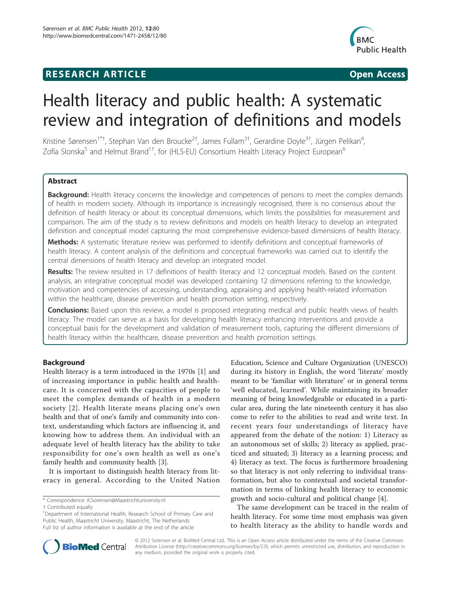## **RESEARCH ARTICLE Example 2018 CONSIDERING ACCESS**



# Health literacy and public health: A systematic review and integration of definitions and models

Kristine Sørensen<sup>1\*†</sup>, Stephan Van den Broucke<sup>2†</sup>, James Fullam<sup>3†</sup>, Gerardine Doyle<sup>3†</sup>, Jürgen Pelikan<sup>4</sup> , Zofia Slonska<sup>5</sup> and Helmut Brand<sup>1†</sup>, for (HLS-EU) Consortium Health Literacy Project European<sup>6</sup>

## Abstract

Background: Health literacy concerns the knowledge and competences of persons to meet the complex demands of health in modern society. Although its importance is increasingly recognised, there is no consensus about the definition of health literacy or about its conceptual dimensions, which limits the possibilities for measurement and comparison. The aim of the study is to review definitions and models on health literacy to develop an integrated definition and conceptual model capturing the most comprehensive evidence-based dimensions of health literacy.

Methods: A systematic literature review was performed to identify definitions and conceptual frameworks of health literacy. A content analysis of the definitions and conceptual frameworks was carried out to identify the central dimensions of health literacy and develop an integrated model.

Results: The review resulted in 17 definitions of health literacy and 12 conceptual models. Based on the content analysis, an integrative conceptual model was developed containing 12 dimensions referring to the knowledge, motivation and competencies of accessing, understanding, appraising and applying health-related information within the healthcare, disease prevention and health promotion setting, respectively.

Conclusions: Based upon this review, a model is proposed integrating medical and public health views of health literacy. The model can serve as a basis for developing health literacy enhancing interventions and provide a conceptual basis for the development and validation of measurement tools, capturing the different dimensions of health literacy within the healthcare, disease prevention and health promotion settings.

## Background

Health literacy is a term introduced in the 1970s [\[1](#page-11-0)] and of increasing importance in public health and healthcare. It is concerned with the capacities of people to meet the complex demands of health in a modern society [[2\]](#page-11-0). Health literate means placing one's own health and that of one's family and community into context, understanding which factors are influencing it, and knowing how to address them. An individual with an adequate level of health literacy has the ability to take responsibility for one's own health as well as one's family health and community health [\[3](#page-11-0)].

It is important to distinguish health literacy from literacy in general. According to the United Nation Education, Science and Culture Organization (UNESCO) during its history in English, the word 'literate' mostly meant to be 'familiar with literature' or in general terms 'well educated, learned'. While maintaining its broader meaning of being knowledgeable or educated in a particular area, during the late nineteenth century it has also come to refer to the abilities to read and write text. In recent years four understandings of literacy have appeared from the debate of the notion: 1) Literacy as an autonomous set of skills; 2) literacy as applied, practiced and situated; 3) literacy as a learning process; and 4) literacy as text. The focus is furthermore broadening so that literacy is not only referring to individual transformation, but also to contextual and societal transformation in terms of linking health literacy to economic growth and socio-cultural and political change [\[4](#page-11-0)].

The same development can be traced in the realm of health literacy. For some time most emphasis was given to health literacy as the ability to handle words and



© 2012 Sorensen et al; BioMed Central Ltd.. This is an Open Access article distributed under the terms of the Creative Commons Attribution License [\(http://creativecommons.org/licenses/by/2.0](http://creativecommons.org/licenses/by/2.0)), which permits unrestricted use, distribution, and reproduction in any medium, provided the original work is properly cited.

<sup>\*</sup> Correspondence: [K.Sorensen@Maastrichtuniversity.nl](mailto:K.Sorensen@Maastrichtuniversity.nl)

<sup>†</sup> Contributed equally <sup>1</sup>

<sup>&</sup>lt;sup>1</sup>Department of International Health, Research School of Primary Care and Public Health, Maastricht University, Maastricht, The Netherlands Full list of author information is available at the end of the article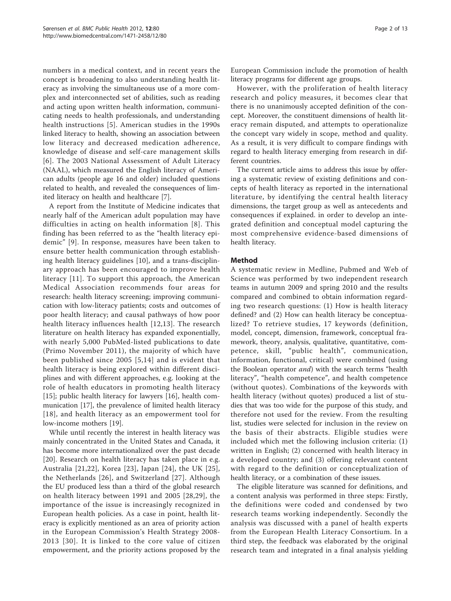numbers in a medical context, and in recent years the concept is broadening to also understanding health literacy as involving the simultaneous use of a more complex and interconnected set of abilities, such as reading and acting upon written health information, communicating needs to health professionals, and understanding health instructions [[5\]](#page-11-0). American studies in the 1990s linked literacy to health, showing an association between low literacy and decreased medication adherence, knowledge of disease and self-care management skills [[6](#page-11-0)]. The 2003 National Assessment of Adult Literacy (NAAL), which measured the English literacy of American adults (people age 16 and older) included questions related to health, and revealed the consequences of limited literacy on health and healthcare [\[7](#page-11-0)].

A report from the Institute of Medicine indicates that nearly half of the American adult population may have difficulties in acting on health information [[8](#page-11-0)]. This finding has been referred to as the "health literacy epidemic" [\[9\]](#page-11-0). In response, measures have been taken to ensure better health communication through establishing health literacy guidelines [[10\]](#page-11-0), and a trans-disciplinary approach has been encouraged to improve health literacy [[11](#page-11-0)]. To support this approach, the American Medical Association recommends four areas for research: health literacy screening; improving communication with low-literacy patients; costs and outcomes of poor health literacy; and causal pathways of how poor health literacy influences health [[12](#page-11-0),[13](#page-11-0)]. The research literature on health literacy has expanded exponentially, with nearly 5,000 PubMed-listed publications to date (Primo November 2011), the majority of which have been published since 2005 [[5,14](#page-11-0)] and is evident that health literacy is being explored within different disciplines and with different approaches, e.g. looking at the role of health educators in promoting health literacy [[15\]](#page-11-0); public health literacy for lawyers [[16\]](#page-11-0), health communication [\[17](#page-11-0)], the prevalence of limited health literacy [[18\]](#page-11-0), and health literacy as an empowerment tool for low-income mothers [[19](#page-11-0)].

While until recently the interest in health literacy was mainly concentrated in the United States and Canada, it has become more internationalized over the past decade [[20](#page-11-0)]. Research on health literacy has taken place in e.g. Australia [[21,22](#page-11-0)], Korea [[23](#page-11-0)], Japan [[24](#page-11-0)], the UK [[25\]](#page-11-0), the Netherlands [[26](#page-11-0)], and Switzerland [\[27\]](#page-11-0). Although the EU produced less than a third of the global research on health literacy between 1991 and 2005 [[28](#page-11-0),[29\]](#page-11-0), the importance of the issue is increasingly recognized in European health policies. As a case in point, health literacy is explicitly mentioned as an area of priority action in the European Commission's Health Strategy 2008- 2013 [[30\]](#page-11-0). It is linked to the core value of citizen empowerment, and the priority actions proposed by the European Commission include the promotion of health literacy programs for different age groups.

However, with the proliferation of health literacy research and policy measures, it becomes clear that there is no unanimously accepted definition of the concept. Moreover, the constituent dimensions of health literacy remain disputed, and attempts to operationalize the concept vary widely in scope, method and quality. As a result, it is very difficult to compare findings with regard to health literacy emerging from research in different countries.

The current article aims to address this issue by offering a systematic review of existing definitions and concepts of health literacy as reported in the international literature, by identifying the central health literacy dimensions, the target group as well as antecedents and consequences if explained. in order to develop an integrated definition and conceptual model capturing the most comprehensive evidence-based dimensions of health literacy.

#### Method

A systematic review in Medline, Pubmed and Web of Science was performed by two independent research teams in autumn 2009 and spring 2010 and the results compared and combined to obtain information regarding two research questions: (1) How is health literacy defined? and (2) How can health literacy be conceptualized? To retrieve studies, 17 keywords (definition, model, concept, dimension, framework, conceptual framework, theory, analysis, qualitative, quantitative, competence, skill, "public health", communication, information, functional, critical) were combined (using the Boolean operator and) with the search terms "health literacy", "health competence", and health competence (without quotes). Combinations of the keywords with health literacy (without quotes) produced a list of studies that was too wide for the purpose of this study, and therefore not used for the review. From the resulting list, studies were selected for inclusion in the review on the basis of their abstracts. Eligible studies were included which met the following inclusion criteria: (1) written in English; (2) concerned with health literacy in a developed country; and (3) offering relevant content with regard to the definition or conceptualization of health literacy, or a combination of these issues.

The eligible literature was scanned for definitions, and a content analysis was performed in three steps: Firstly, the definitions were coded and condensed by two research teams working independently. Secondly the analysis was discussed with a panel of health experts from the European Health Literacy Consortium. In a third step, the feedback was elaborated by the original research team and integrated in a final analysis yielding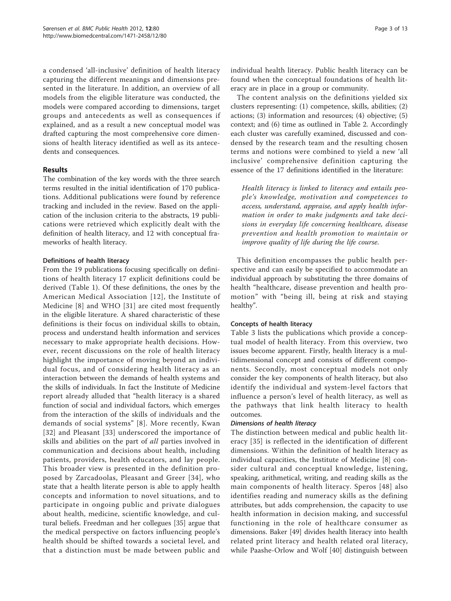a condensed 'all-inclusive' definition of health literacy capturing the different meanings and dimensions presented in the literature. In addition, an overview of all models from the eligible literature was conducted, the models were compared according to dimensions, target groups and antecedents as well as consequences if explained, and as a result a new conceptual model was drafted capturing the most comprehensive core dimensions of health literacy identified as well as its antecedents and consequences.

## Results

The combination of the key words with the three search terms resulted in the initial identification of 170 publications. Additional publications were found by reference tracking and included in the review. Based on the application of the inclusion criteria to the abstracts, 19 publications were retrieved which explicitly dealt with the definition of health literacy, and 12 with conceptual frameworks of health literacy.

## Definitions of health literacy

From the 19 publications focusing specifically on definitions of health literacy 17 explicit definitions could be derived (Table [1](#page-3-0)). Of these definitions, the ones by the American Medical Association [[12\]](#page-11-0), the Institute of Medicine [[8\]](#page-11-0) and WHO [[31](#page-11-0)] are cited most frequently in the eligible literature. A shared characteristic of these definitions is their focus on individual skills to obtain, process and understand health information and services necessary to make appropriate health decisions. However, recent discussions on the role of health literacy highlight the importance of moving beyond an individual focus, and of considering health literacy as an interaction between the demands of health systems and the skills of individuals. In fact the Institute of Medicine report already alluded that "health literacy is a shared function of social and individual factors, which emerges from the interaction of the skills of individuals and the demands of social systems" [[8](#page-11-0)]. More recently, Kwan [[32](#page-11-0)] and Pleasant [[33](#page-11-0)] underscored the importance of skills and abilities on the part of all parties involved in communication and decisions about health, including patients, providers, health educators, and lay people. This broader view is presented in the definition proposed by Zarcadoolas, Pleasant and Greer [[34\]](#page-11-0), who state that a health literate person is able to apply health concepts and information to novel situations, and to participate in ongoing public and private dialogues about health, medicine, scientific knowledge, and cultural beliefs. Freedman and her collegues [[35](#page-11-0)] argue that the medical perspective on factors influencing people's health should be shifted towards a societal level, and that a distinction must be made between public and individual health literacy. Public health literacy can be found when the conceptual foundations of health literacy are in place in a group or community.

The content analysis on the definitions yielded six clusters representing: (1) competence, skills, abilities; (2) actions; (3) information and resources; (4) objective; (5) context; and (6) time as outlined in Table [2](#page-4-0). Accordingly each cluster was carefully examined, discussed and condensed by the research team and the resulting chosen terms and notions were combined to yield a new 'all inclusive' comprehensive definition capturing the essence of the 17 definitions identified in the literature:

Health literacy is linked to literacy and entails people's knowledge, motivation and competences to access, understand, appraise, and apply health information in order to make judgments and take decisions in everyday life concerning healthcare, disease prevention and health promotion to maintain or improve quality of life during the life course.

This definition encompasses the public health perspective and can easily be specified to accommodate an individual approach by substituting the three domains of health "healthcare, disease prevention and health promotion" with "being ill, being at risk and staying healthy".

## Concepts of health literacy

Table [3](#page-5-0) lists the publications which provide a conceptual model of health literacy. From this overview, two issues become apparent. Firstly, health literacy is a multidimensional concept and consists of different components. Secondly, most conceptual models not only consider the key components of health literacy, but also identify the individual and system-level factors that influence a person's level of health literacy, as well as the pathways that link health literacy to health outcomes.

### Dimensions of health literacy

The distinction between medical and public health literacy [[35](#page-11-0)] is reflected in the identification of different dimensions. Within the definition of health literacy as individual capacities, the Institute of Medicine [[8](#page-11-0)] consider cultural and conceptual knowledge, listening, speaking, arithmetical, writing, and reading skills as the main components of health literacy. Speros [[48\]](#page-11-0) also identifies reading and numeracy skills as the defining attributes, but adds comprehension, the capacity to use health information in decision making, and successful functioning in the role of healthcare consumer as dimensions. Baker [[49\]](#page-11-0) divides health literacy into health related print literacy and health related oral literacy, while Paashe-Orlow and Wolf [[40\]](#page-11-0) distinguish between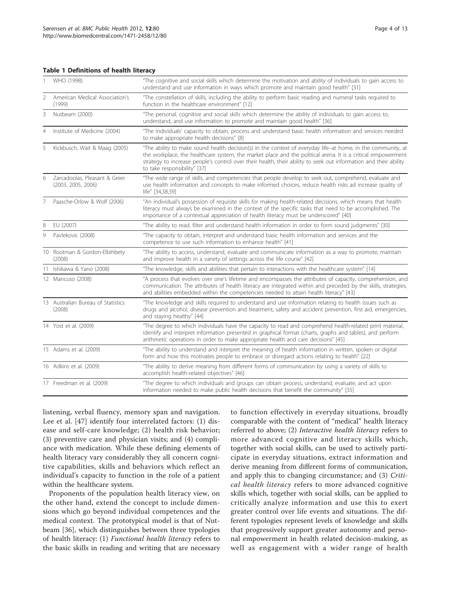#### <span id="page-3-0"></span>Table 1 Definitions of health literacy

|                | WHO (1998)                                          | "The cognitive and social skills which determine the motivation and ability of individuals to gain access to<br>understand and use information in ways which promote and maintain good health" [31]                                                                                                                                                                             |
|----------------|-----------------------------------------------------|---------------------------------------------------------------------------------------------------------------------------------------------------------------------------------------------------------------------------------------------------------------------------------------------------------------------------------------------------------------------------------|
| $\mathfrak{D}$ | American Medical Association's<br>(1999)            | "The constellation of skills, including the ability to perform basic reading and numeral tasks required to<br>function in the healthcare environment" [12]                                                                                                                                                                                                                      |
| 3              | Nutbeam (2000)                                      | "The personal, cognitive and social skills which determine the ability of individuals to gain access to,<br>understand, and use information to promote and maintain good health" [36]                                                                                                                                                                                           |
| 4              | Institute of Medicine (2004)                        | "The individuals' capacity to obtain, process and understand basic health information and services needed<br>to make appropriate health decisions" [8]                                                                                                                                                                                                                          |
| 5              | Kickbusch, Wait & Maag (2005)                       | "The ability to make sound health decision(s) in the context of everyday life-at home, in the community, at<br>the workplace, the healthcare system, the market place and the political arena. It is a critical empowerment<br>strategy to increase people's control over their health, their ability to seek out information and their ability<br>to take responsibility" [37] |
| 6              | Zarcadoolas, Pleasant & Greer<br>(2003, 2005, 2006) | "The wide range of skills, and competencies that people develop to seek out, comprehend, evaluate and<br>use health information and concepts to make informed choices, reduce health risks ad increase quality of<br>life" [34,38,39]                                                                                                                                           |
| $\overline{7}$ | Paasche-Orlow & Wolf (2006)                         | "An individual's possession of requisite skills for making health-related decisions, which means that health<br>literacy must always be examined in the context of the specific tasks that need to be accomplished. The<br>importance of a contextual appreciation of health literacy must be underscored" [40]                                                                 |
| 8              | EU (2007)                                           | "The ability to read, filter and understand health information in order to form sound judgments" [30]                                                                                                                                                                                                                                                                           |
| 9              | Pavlekovic (2008)                                   | "The capacity to obtain, interpret and understand basic health information and services and the<br>competence to use such information to enhance health" [41]                                                                                                                                                                                                                   |
|                | 10 Rootman & Gordon-Elbihbety<br>(2008)             | "The ability to access, understand, evaluate and communicate information as a way to promote, maintain<br>and improve health in a variety of settings across the life course" [42]                                                                                                                                                                                              |
|                | 11 Ishikawa & Yano (2008)                           | "The knowledge, skills and abilities that pertain to interactions with the healthcare system" [14]                                                                                                                                                                                                                                                                              |
|                | 12 Mancuso (2008)                                   | "A process that evolves over one's lifetime and encompasses the attributes of capacity, comprehension, and<br>communication. The attributes of health literacy are integrated within and preceded by the skills, strategies,<br>and abilities embedded within the competencies needed to attain health literacy" [43]                                                           |
|                | 13 Australian Bureau of Statistics<br>(2008)        | "The knowledge and skills required to understand and use information relating to health issues such as<br>drugs and alcohol, disease prevention and treatment, safety and accident prevention, first aid, emergencies,<br>and staying healthy" [44]                                                                                                                             |
|                | 14 Yost et al. (2009)                               | "The degree to which individuals have the capacity to read and comprehend health-related print material,<br>identify and interpret information presented in graphical format (charts, graphs and tables), and perform<br>arithmetic operations in order to make appropriate health and care decisions" [45]                                                                     |
|                | 15 Adams et al. (2009)                              | "The ability to understand and interpret the meaning of health information in written, spoken or digital<br>form and how this motivates people to embrace or disregard actions relating to health" [22]                                                                                                                                                                         |
|                | 16 Adkins et al. (2009)                             | "The ability to derive meaning from different forms of communication by using a variety of skills to<br>accomplish health-related objectives" [46]                                                                                                                                                                                                                              |
|                | 17 Freedman et al. (2009)                           | "The degree to which individuals and groups can obtain process, understand, evaluate, and act upon<br>information needed to make public health decisions that benefit the community" [35]                                                                                                                                                                                       |

listening, verbal fluency, memory span and navigation. Lee et al. [[47](#page-11-0)] identify four interrelated factors: (1) disease and self-care knowledge; (2) health risk behavior; (3) preventive care and physician visits; and (4) compliance with medication. While these defining elements of health literacy vary considerably they all concern cognitive capabilities, skills and behaviors which reflect an individual's capacity to function in the role of a patient within the healthcare system.

Proponents of the population health literacy view, on the other hand, extend the concept to include dimensions which go beyond individual competences and the medical context. The prototypical model is that of Nutbeam [\[36](#page-11-0)], which distinguishes between three typologies of health literacy: (1) Functional health literacy refers to the basic skills in reading and writing that are necessary to function effectively in everyday situations, broadly comparable with the content of "medical" health literacy referred to above; (2) Interactive health literacy refers to more advanced cognitive and literacy skills which, together with social skills, can be used to actively participate in everyday situations, extract information and derive meaning from different forms of communication, and apply this to changing circumstance; and (3) Critical health literacy refers to more advanced cognitive skills which, together with social skills, can be applied to critically analyze information and use this to exert greater control over life events and situations. The different typologies represent levels of knowledge and skills that progressively support greater autonomy and personal empowerment in health related decision-making, as well as engagement with a wider range of health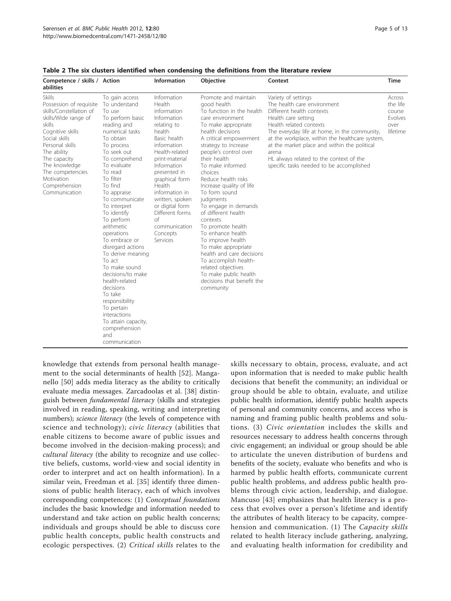| Competence / skills / Action<br>abilities                                                                                                                                                                                                                                         |                                                                                                                                                                                                                                                                                                                                                                                                                                                                                                                                                                                             | <b>Information</b>                                                                                                                                                                                                                                                                                                                   | Objective                                                                                                                                                                                                                                                                                                                                                                                                                                                                                                                                                                                                                                   | Context                                                                                                                                                                                                                                                                                                                                                                              | <b>Time</b>                                                 |
|-----------------------------------------------------------------------------------------------------------------------------------------------------------------------------------------------------------------------------------------------------------------------------------|---------------------------------------------------------------------------------------------------------------------------------------------------------------------------------------------------------------------------------------------------------------------------------------------------------------------------------------------------------------------------------------------------------------------------------------------------------------------------------------------------------------------------------------------------------------------------------------------|--------------------------------------------------------------------------------------------------------------------------------------------------------------------------------------------------------------------------------------------------------------------------------------------------------------------------------------|---------------------------------------------------------------------------------------------------------------------------------------------------------------------------------------------------------------------------------------------------------------------------------------------------------------------------------------------------------------------------------------------------------------------------------------------------------------------------------------------------------------------------------------------------------------------------------------------------------------------------------------------|--------------------------------------------------------------------------------------------------------------------------------------------------------------------------------------------------------------------------------------------------------------------------------------------------------------------------------------------------------------------------------------|-------------------------------------------------------------|
| <b>Skills</b><br>Possession of requisite<br>skills/Constellation of<br>skills/Wide range of<br>skills<br>Cognitive skills<br>Social skills<br>Personal skills<br>The ability<br>The capacity<br>The knowledge<br>The competencies<br>Motivation<br>Comprehension<br>Communication | To gain access<br>To understand<br>To use<br>To perform basic<br>reading and<br>numerical tasks<br>To obtain<br>To process<br>To seek out<br>To comprehend<br>To evaluate<br>To read<br>To filter<br>To find<br>To appraise<br>To communicate<br>To interpret<br>To identify<br>To perform<br>arithmetic<br>operations<br>To embrace or<br>disregard actions<br>To derive meaning<br>To act<br>To make sound<br>decisions/to make<br>health-related<br>decisions<br>To take<br>responsibility<br>To pertain<br>interactions<br>To attain capacity,<br>comprehension<br>and<br>communication | Information<br>Health<br>information<br>Information<br>relating to<br>health<br>Basic health<br>information<br>Health-related<br>print-material<br>Information<br>presented in<br>graphical form<br>Health<br>information in<br>written, spoken<br>or digital form<br>Different forms<br>of<br>communication<br>Concepts<br>Services | Promote and maintain<br>good health<br>To function in the health<br>care environment<br>To make appropriate<br>health decisions<br>A critical empowerment<br>strategy to increase<br>people's control over<br>their health<br>To make informed<br>choices<br>Reduce health risks<br>Increase quality of life<br>To form sound<br>judgments<br>To engage in demands<br>of different health<br>contexts<br>To promote health<br>To enhance health<br>To improve health<br>To make appropriate<br>health and care decisions<br>To accomplish health-<br>related objectives<br>To make public health<br>decisions that benefit the<br>community | Variety of settings<br>The health care environment<br>Different health contexts<br>Health care setting<br>Health related contexts<br>The everyday life at home, in the community,<br>at the workplace, within the healthcare system,<br>at the market place and within the political<br>arena<br>HL always related to the context of the<br>specific tasks needed to be accomplished | Across<br>the life<br>course<br>Evolves<br>over<br>lifetime |

<span id="page-4-0"></span>Table 2 The six clusters identified when condensing the definitions from the literature review

knowledge that extends from personal health management to the social determinants of health [[52\]](#page-12-0). Manganello [[50\]](#page-11-0) adds media literacy as the ability to critically evaluate media messages. Zarcadoolas et al. [[38](#page-11-0)] distinguish between fundamental literacy (skills and strategies involved in reading, speaking, writing and interpreting numbers); science literacy (the levels of competence with science and technology); *civic literacy* (abilities that enable citizens to become aware of public issues and become involved in the decision-making process); and cultural literacy (the ability to recognize and use collective beliefs, customs, world-view and social identity in order to interpret and act on health information). In a similar vein, Freedman et al. [[35](#page-11-0)] identify three dimensions of public health literacy, each of which involves corresponding competences: (1) Conceptual foundations includes the basic knowledge and information needed to understand and take action on public health concerns; individuals and groups should be able to discuss core public health concepts, public health constructs and ecologic perspectives. (2) Critical skills relates to the skills necessary to obtain, process, evaluate, and act upon information that is needed to make public health decisions that benefit the community; an individual or group should be able to obtain, evaluate, and utilize public health information, identify public health aspects of personal and community concerns, and access who is naming and framing public health problems and solutions. (3) Civic orientation includes the skills and resources necessary to address health concerns through civic engagement; an individual or group should be able to articulate the uneven distribution of burdens and benefits of the society, evaluate who benefits and who is harmed by public health efforts, communicate current public health problems, and address public health problems through civic action, leadership, and dialogue. Mancuso [[43](#page-11-0)] emphasizes that health literacy is a process that evolves over a person's lifetime and identify the attributes of health literacy to be capacity, comprehension and communication. (1) The Capacity skills related to health literacy include gathering, analyzing, and evaluating health information for credibility and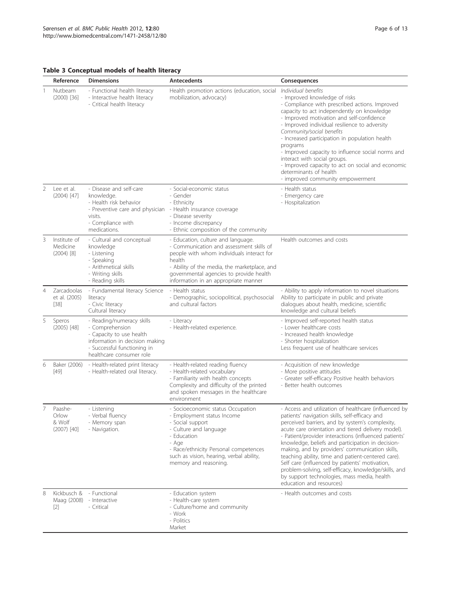## <span id="page-5-0"></span>Table 3 Conceptual models of health literacy

|                | Reference                                                      | <b>Dimensions</b>                                                                                                                                                     | <b>Antecedents</b>                                                                                                                                                                                                                                                       | Consequences                                                                                                                                                                                                                                                                                                                                                                                                                                                                                                                                                                                                                  |
|----------------|----------------------------------------------------------------|-----------------------------------------------------------------------------------------------------------------------------------------------------------------------|--------------------------------------------------------------------------------------------------------------------------------------------------------------------------------------------------------------------------------------------------------------------------|-------------------------------------------------------------------------------------------------------------------------------------------------------------------------------------------------------------------------------------------------------------------------------------------------------------------------------------------------------------------------------------------------------------------------------------------------------------------------------------------------------------------------------------------------------------------------------------------------------------------------------|
| 1              | Nutbeam<br>$(2000)$ [36]                                       | - Functional health literacy<br>- Interactive health literacy<br>- Critical health literacy                                                                           | Health promotion actions (education, social<br>mobilization, advocacy)                                                                                                                                                                                                   | Individual benefits<br>- Improved knowledge of risks<br>- Compliance with prescribed actions. Improved<br>capacity to act independently on knowledge<br>- Improved motivation and self-confidence<br>- Improved individual resilience to adversity<br>Community/social benefits<br>- Increased participation in population health<br>programs<br>- Improved capacity to influence social norms and<br>interact with social groups.<br>- Improved capacity to act on social and economic<br>determinants of health<br>- improved community empowerment                                                                         |
| 2              | Lee et al.<br>$(2004)$ [47]                                    | - Disease and self-care<br>knowledge.<br>- Health risk behavior<br>- Preventive care and physician<br>visits.<br>- Compliance with<br>medications.                    | - Social-economic status<br>- Gender<br>- Ethnicity<br>- Health insurance coverage<br>- Disease severity<br>- Income discrepancy<br>- Ethnic composition of the community                                                                                                | - Health status<br>- Emergency care<br>- Hospitalization                                                                                                                                                                                                                                                                                                                                                                                                                                                                                                                                                                      |
| 3              | Institute of<br>Medicine<br>$(2004)$ [8]                       | - Cultural and conceptual<br>knowledge<br>- Listening<br>- Speaking<br>- Arithmetical skills<br>- Writing skills<br>- Reading skills                                  | - Education, culture and language.<br>- Communication and assessment skills of<br>people with whom individuals interact for<br>health<br>- Ability of the media, the marketplace, and<br>governmental agencies to provide health<br>information in an appropriate manner | Health outcomes and costs                                                                                                                                                                                                                                                                                                                                                                                                                                                                                                                                                                                                     |
| $\overline{4}$ | Zarcadoolas<br>et al. (2005)<br>$[38]$                         | - Fundamental literacy Science<br>literacy<br>- Civic literacy<br>Cultural literacy                                                                                   | - Health status<br>- Demographic, sociopolitical, psychosocial<br>and cultural factors                                                                                                                                                                                   | - Ability to apply information to novel situations<br>Ability to participate in public and private<br>dialogues about health, medicine, scientific<br>knowledge and cultural beliefs                                                                                                                                                                                                                                                                                                                                                                                                                                          |
| 5              | Speros<br>$(2005)$ [48]                                        | - Reading/numeracy skills<br>- Comprehension<br>- Capacity to use health<br>information in decision making<br>- Successful functioning in<br>healthcare consumer role | - Literacy<br>- Health-related experience.                                                                                                                                                                                                                               | - Improved self-reported health status<br>- Lower healthcare costs<br>- Increased health knowledge<br>- Shorter hospitalization<br>Less frequent use of healthcare services                                                                                                                                                                                                                                                                                                                                                                                                                                                   |
| 6              | Baker (2006)<br>$[49]$                                         | - Health-related print literacy<br>- Health-related oral literacy.                                                                                                    | - Health-related reading fluency<br>- Health-related vocabulary<br>- Familiarity with health concepts<br>Complexity and difficulty of the printed<br>and spoken messages in the healthcare<br>environment                                                                | - Acquisition of new knowledge<br>- More positive attitudes<br>- Greater self-efficacy Positive health behaviors<br>- Better health outcomes                                                                                                                                                                                                                                                                                                                                                                                                                                                                                  |
| 7              | Paashe-<br>Orlow<br>& Wolf<br>$(2007)$ [40]                    | - Listening<br>- Verbal fluency<br>- Memory span<br>- Navigation.                                                                                                     | - Socioeconomic status Occupation<br>- Employment status Income<br>- Social support<br>- Culture and language<br>- Education<br>- Age<br>- Race/ethnicity Personal competences<br>such as vision, hearing, verbal ability,<br>memory and reasoning.                      | - Access and utilization of healthcare (influenced by<br>patients' navigation skills, self-efficacy and<br>perceived barriers, and by system's complexity,<br>acute care orientation and tiered delivery model).<br>- Patient/provider interactions (influenced patients'<br>knowledge, beliefs and participation in decision-<br>making, and by providers' communication skills,<br>teaching ability, time and patient-centered care).<br>Self care (influenced by patients' motivation,<br>problem-solving, self-efficacy, knowledge/skills, and<br>by support technologies, mass media, health<br>education and resources) |
| 8              | Kickbusch & - Functional<br>Maag (2008) - Interactive<br>$[2]$ | - Critical                                                                                                                                                            | - Education system<br>- Health-care system<br>- Culture/home and community<br>- Work<br>- Politics<br>Market                                                                                                                                                             | - Health outcomes and costs                                                                                                                                                                                                                                                                                                                                                                                                                                                                                                                                                                                                   |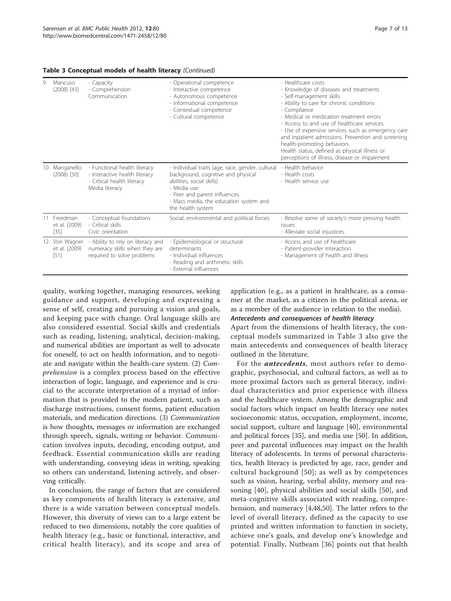|  | Table 3 Conceptual models of health literacy (Continued) |  |  |  |  |
|--|----------------------------------------------------------|--|--|--|--|
|--|----------------------------------------------------------|--|--|--|--|

| 9  | Mancuso<br>$(2008)$ [43]               | - Capacity<br>- Comprehension<br>Communication                                                                | - Operational competence<br>- Interactive competence<br>- Autonomous competence<br>- Informational competence<br>- Contextual competence<br>- Cultural competence                                                                 | - Healthcare costs<br>- Knowledge of diseases and treatments<br>- Self-management skills<br>- Ability to care for chronic conditions<br>- Compliance<br>- Medical or medication treatment errors<br>- Access to and use of healthcare services.<br>- Use of expensive services such as emergency care<br>and inpatient admissions. Prevention and screening<br>health-promoting behaviors<br>Health status, defined as physical illness or<br>perceptions of illness, disease or impairment |
|----|----------------------------------------|---------------------------------------------------------------------------------------------------------------|-----------------------------------------------------------------------------------------------------------------------------------------------------------------------------------------------------------------------------------|---------------------------------------------------------------------------------------------------------------------------------------------------------------------------------------------------------------------------------------------------------------------------------------------------------------------------------------------------------------------------------------------------------------------------------------------------------------------------------------------|
| 10 | Manganello<br>$(2008)$ [50]            | - Functional health literacy<br>- Interactive health literacy<br>- Critical health literacy<br>Media literacy | - Individual traits (age, race, gender, cultural<br>background, cognitive and physical<br>abilities, social skills)<br>- Media use<br>- Peer and parent influences<br>- Mass media, the education system and<br>the health system | - Health behavior<br>- Health costs<br>- Health service use                                                                                                                                                                                                                                                                                                                                                                                                                                 |
|    | 11 Freedman<br>et al. (2009)<br>$[35]$ | - Conceptual foundations<br>- Critical skills<br>Civic orientation                                            | Social, environmental and political forces                                                                                                                                                                                        | - Resolve some of society's more pressing health<br>issues<br>- Alleviate social injustices.                                                                                                                                                                                                                                                                                                                                                                                                |
|    | 12 Von Wagner<br>et al. (2009)<br>[51] | - Ability to rely on literacy and<br>numeracy skills when they are<br>required to solve problems              | - Epidemiological or structural<br>determinants<br>- Individual influences<br>- Reading and arithmetic skills<br>- External influences                                                                                            | - Access and use of healthcare<br>- Patient-provider interaction<br>- Management of health and illness                                                                                                                                                                                                                                                                                                                                                                                      |

quality, working together, managing resources, seeking guidance and support, developing and expressing a sense of self, creating and pursuing a vision and goals, and keeping pace with change. Oral language skills are also considered essential. Social skills and credentials such as reading, listening, analytical, decision-making, and numerical abilities are important as well to advocate for oneself, to act on health information, and to negotiate and navigate within the health-care system. (2) Comprehension is a complex process based on the effective interaction of logic, language, and experience and is crucial to the accurate interpretation of a myriad of information that is provided to the modern patient, such as discharge instructions, consent forms, patient education materials, and medication directions. (3) Communication is how thoughts, messages or information are exchanged through speech, signals, writing or behavior. Communication involves inputs, decoding, encoding output, and feedback. Essential communication skills are reading with understanding, conveying ideas in writing, speaking so others can understand, listening actively, and observing critically.

In conclusion, the range of factors that are considered as key components of health literacy is extensive, and there is a wide variation between conceptual models. However, this diversity of views can to a large extent be reduced to two dimensions, notably the core qualities of health literacy (e.g., basic or functional, interactive, and critical health literacy), and its scope and area of

application (e.g., as a patient in healthcare, as a consumer at the market, as a citizen in the political arena, or as a member of the audience in relation to the media).

## Antecedents and consequences of health literacy

Apart from the dimensions of health literacy, the conceptual models summarized in Table [3](#page-5-0) also give the main antecedents and consequences of health literacy outlined in the literature.

For the *antecedents*, most authors refer to demographic, psychosocial, and cultural factors, as well as to more proximal factors such as general literacy, individual characteristics and prior experience with illness and the healthcare system. Among the demographic and social factors which impact on health literacy one notes socioeconomic status, occupation, employment, income, social support, culture and language [[40\]](#page-11-0), environmental and political forces [[35\]](#page-11-0), and media use [[50\]](#page-11-0). In addition, peer and parental influences may impact on the health literacy of adolescents. In terms of personal characteristics, health literacy is predicted by age, race, gender and cultural background [[50](#page-11-0)]; as well as by competences such as vision, hearing, verbal ability, memory and reasoning [[40](#page-11-0)], physical abilities and social skills [\[50](#page-11-0)], and meta-cognitive skills associated with reading, comprehension, and numeracy [[4,48,50\]](#page-11-0). The latter refers to the level of overall literacy, defined as the capacity to use printed and written information to function in society, achieve one's goals, and develop one's knowledge and potential. Finally, Nutbeam [[36](#page-11-0)] points out that health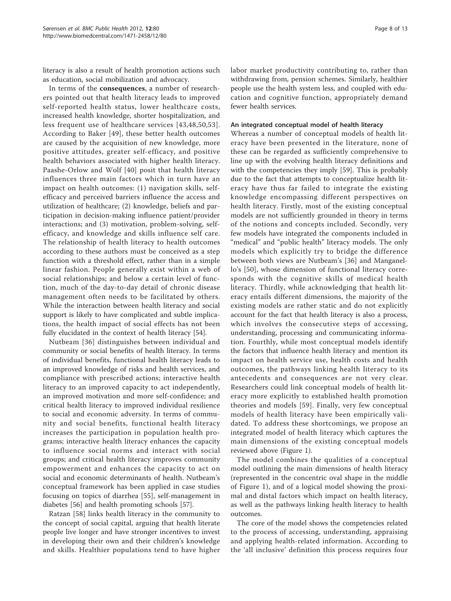literacy is also a result of health promotion actions such as education, social mobilization and advocacy.

In terms of the consequences, a number of researchers pointed out that health literacy leads to improved self-reported health status, lower healthcare costs, increased health knowledge, shorter hospitalization, and less frequent use of healthcare services [[43](#page-11-0),[48](#page-11-0),[50](#page-11-0),[53\]](#page-12-0). According to Baker [[49](#page-11-0)], these better health outcomes are caused by the acquisition of new knowledge, more positive attitudes, greater self-efficacy, and positive health behaviors associated with higher health literacy. Paashe-Orlow and Wolf [\[40\]](#page-11-0) posit that health literacy influences three main factors which in turn have an impact on health outcomes: (1) navigation skills, selfefficacy and perceived barriers influence the access and utilization of healthcare; (2) knowledge, beliefs and participation in decision-making influence patient/provider interactions; and (3) motivation, problem-solving, selfefficacy, and knowledge and skills influence self care. The relationship of health literacy to health outcomes according to these authors must be conceived as a step function with a threshold effect, rather than in a simple linear fashion. People generally exist within a web of social relationships; and below a certain level of function, much of the day-to-day detail of chronic disease management often needs to be facilitated by others. While the interaction between health literacy and social support is likely to have complicated and subtle implications, the health impact of social effects has not been fully elucidated in the context of health literacy [\[54](#page-12-0)].

Nutbeam [[36](#page-11-0)] distinguishes between individual and community or social benefits of health literacy. In terms of individual benefits, functional health literacy leads to an improved knowledge of risks and health services, and compliance with prescribed actions; interactive health literacy to an improved capacity to act independently, an improved motivation and more self-confidence; and critical health literacy to improved individual resilience to social and economic adversity. In terms of community and social benefits, functional health literacy increases the participation in population health programs; interactive health literacy enhances the capacity to influence social norms and interact with social groups; and critical health literacy improves community empowerment and enhances the capacity to act on social and economic determinants of health. Nutbeam's conceptual framework has been applied in case studies focusing on topics of diarrhea [\[55](#page-12-0)], self-management in diabetes [[56\]](#page-12-0) and health promoting schools [\[57\]](#page-12-0).

Ratzan [[58\]](#page-12-0) links health literacy in the community to the concept of social capital, arguing that health literate people live longer and have stronger incentives to invest in developing their own and their children's knowledge and skills. Healthier populations tend to have higher labor market productivity contributing to, rather than withdrawing from, pension schemes. Similarly, healthier people use the health system less, and coupled with education and cognitive function, appropriately demand fewer health services.

#### An integrated conceptual model of health literacy

Whereas a number of conceptual models of health literacy have been presented in the literature, none of these can be regarded as sufficiently comprehensive to line up with the evolving health literacy definitions and with the competencies they imply [\[59](#page-12-0)]. This is probably due to the fact that attempts to conceptualize health literacy have thus far failed to integrate the existing knowledge encompassing different perspectives on health literacy. Firstly, most of the existing conceptual models are not sufficiently grounded in theory in terms of the notions and concepts included. Secondly, very few models have integrated the components included in "medical" and "public health" literacy models. The only models which explicitly try to bridge the difference between both views are Nutbeam's [\[36](#page-11-0)] and Manganello's [\[50\]](#page-11-0), whose dimension of functional literacy corresponds with the cognitive skills of medical health literacy. Thirdly, while acknowledging that health literacy entails different dimensions, the majority of the existing models are rather static and do not explicitly account for the fact that health literacy is also a process, which involves the consecutive steps of accessing, understanding, processing and communicating information. Fourthly, while most conceptual models identify the factors that influence health literacy and mention its impact on health service use, health costs and health outcomes, the pathways linking health literacy to its antecedents and consequences are not very clear. Researchers could link conceptual models of health literacy more explicitly to established health promotion theories and models [[59](#page-12-0)]. Finally, very few conceptual models of health literacy have been empirically validated. To address these shortcomings, we propose an integrated model of health literacy which captures the main dimensions of the existing conceptual models reviewed above (Figure [1](#page-8-0)).

The model combines the qualities of a conceptual model outlining the main dimensions of health literacy (represented in the concentric oval shape in the middle of Figure [1](#page-8-0)), and of a logical model showing the proximal and distal factors which impact on health literacy, as well as the pathways linking health literacy to health outcomes.

The core of the model shows the competencies related to the process of accessing, understanding, appraising and applying health-related information. According to the 'all inclusive' definition this process requires four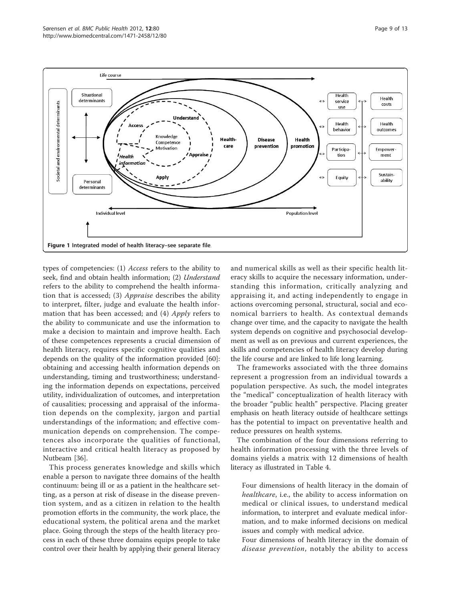<span id="page-8-0"></span>

types of competencies: (1) Access refers to the ability to seek, find and obtain health information; (2) *Understand* refers to the ability to comprehend the health information that is accessed; (3) Appraise describes the ability to interpret, filter, judge and evaluate the health information that has been accessed; and (4) Apply refers to the ability to communicate and use the information to make a decision to maintain and improve health. Each of these competences represents a crucial dimension of health literacy, requires specific cognitive qualities and depends on the quality of the information provided [\[60](#page-12-0)]: obtaining and accessing health information depends on understanding, timing and trustworthiness; understanding the information depends on expectations, perceived utility, individualization of outcomes, and interpretation of causalities; processing and appraisal of the information depends on the complexity, jargon and partial understandings of the information; and effective communication depends on comprehension. The competences also incorporate the qualities of functional, interactive and critical health literacy as proposed by Nutbeam [[36\]](#page-11-0).

This process generates knowledge and skills which enable a person to navigate three domains of the health continuum: being ill or as a patient in the healthcare setting, as a person at risk of disease in the disease prevention system, and as a citizen in relation to the health promotion efforts in the community, the work place, the educational system, the political arena and the market place. Going through the steps of the health literacy process in each of these three domains equips people to take control over their health by applying their general literacy

and numerical skills as well as their specific health literacy skills to acquire the necessary information, understanding this information, critically analyzing and appraising it, and acting independently to engage in actions overcoming personal, structural, social and economical barriers to health. As contextual demands change over time, and the capacity to navigate the health system depends on cognitive and psychosocial development as well as on previous and current experiences, the skills and competencies of health literacy develop during the life course and are linked to life long learning.

The frameworks associated with the three domains represent a progression from an individual towards a population perspective. As such, the model integrates the "medical" conceptualization of health literacy with the broader "public health" perspective. Placing greater emphasis on heath literacy outside of healthcare settings has the potential to impact on preventative health and reduce pressures on health systems.

The combination of the four dimensions referring to health information processing with the three levels of domains yields a matrix with 12 dimensions of health literacy as illustrated in Table [4.](#page-9-0)

Four dimensions of health literacy in the domain of healthcare, i.e., the ability to access information on medical or clinical issues, to understand medical information, to interpret and evaluate medical information, and to make informed decisions on medical issues and comply with medical advice.

Four dimensions of health literacy in the domain of disease prevention, notably the ability to access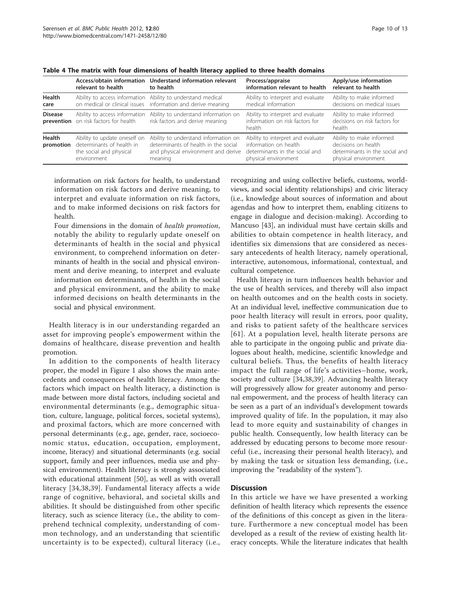|                     | relevant to health                                                                                  | Access/obtain information Understand information relevant<br>to health                                                         | Process/appraise<br>information relevant to health                                                                   | Apply/use information<br>relevant to health                                                               |
|---------------------|-----------------------------------------------------------------------------------------------------|--------------------------------------------------------------------------------------------------------------------------------|----------------------------------------------------------------------------------------------------------------------|-----------------------------------------------------------------------------------------------------------|
| Health<br>care      |                                                                                                     | Ability to access information Ability to understand medical<br>on medical or clinical issues information and derive meaning    | Ability to interpret and evaluate<br>medical information                                                             | Ability to make informed<br>decisions on medical issues                                                   |
| <b>Disease</b>      | <b>prevention</b> on risk factors for health                                                        | Ability to access information Ability to understand information on<br>risk factors and derive meaning                          | Ability to interpret and evaluate<br>information on risk factors for<br>health                                       | Ability to make informed<br>decisions on risk factors for<br>health                                       |
| Health<br>promotion | Ability to update oneself on<br>determinants of health in<br>the social and physical<br>environment | Ability to understand information on<br>determinants of health in the social<br>and physical environment and derive<br>meaning | Ability to interpret and evaluate<br>information on health<br>determinants in the social and<br>physical environment | Ability to make informed<br>decisions on health<br>determinants in the social and<br>physical environment |

<span id="page-9-0"></span>Table 4 The matrix with four dimensions of health literacy applied to three health domains

information on risk factors for health, to understand information on risk factors and derive meaning, to interpret and evaluate information on risk factors, and to make informed decisions on risk factors for health.

Four dimensions in the domain of health promotion, notably the ability to regularly update oneself on determinants of health in the social and physical environment, to comprehend information on determinants of health in the social and physical environment and derive meaning, to interpret and evaluate information on determinants, of health in the social and physical environment, and the ability to make informed decisions on health determinants in the social and physical environment.

Health literacy is in our understanding regarded an asset for improving people's empowerment within the domains of healthcare, disease prevention and health promotion.

In addition to the components of health literacy proper, the model in Figure [1](#page-8-0) also shows the main antecedents and consequences of health literacy. Among the factors which impact on health literacy, a distinction is made between more distal factors, including societal and environmental determinants (e.g., demographic situation, culture, language, political forces, societal systems), and proximal factors, which are more concerned with personal determinants (e.g., age, gender, race, socioeconomic status, education, occupation, employment, income, literacy) and situational determinants (e.g. social support, family and peer influences, media use and physical environment). Health literacy is strongly associated with educational attainment [[50\]](#page-11-0), as well as with overall literacy [[34,38](#page-11-0),[39\]](#page-11-0). Fundamental literacy affects a wide range of cognitive, behavioral, and societal skills and abilities. It should be distinguished from other specific literacy, such as science literacy (i.e., the ability to comprehend technical complexity, understanding of common technology, and an understanding that scientific uncertainty is to be expected), cultural literacy (i.e., recognizing and using collective beliefs, customs, worldviews, and social identity relationships) and civic literacy (i.e., knowledge about sources of information and about agendas and how to interpret them, enabling citizens to engage in dialogue and decision-making). According to Mancuso [[43](#page-11-0)], an individual must have certain skills and abilities to obtain competence in health literacy, and identifies six dimensions that are considered as necessary antecedents of health literacy, namely operational, interactive, autonomous, informational, contextual, and cultural competence.

Health literacy in turn influences health behavior and the use of health services, and thereby will also impact on health outcomes and on the health costs in society. At an individual level, ineffective communication due to poor health literacy will result in errors, poor quality, and risks to patient safety of the healthcare services [[61](#page-12-0)]. At a population level, health literate persons are able to participate in the ongoing public and private dialogues about health, medicine, scientific knowledge and cultural beliefs. Thus, the benefits of health literacy impact the full range of life's activities–home, work, society and culture [\[34,38,39](#page-11-0)]. Advancing health literacy will progressively allow for greater autonomy and personal empowerment, and the process of health literacy can be seen as a part of an individual's development towards improved quality of life. In the population, it may also lead to more equity and sustainability of changes in public health. Consequently, low health literacy can be addressed by educating persons to become more resourceful (i.e., increasing their personal health literacy), and by making the task or situation less demanding, (i.e., improving the "readability of the system").

## **Discussion**

In this article we have we have presented a working definition of health literacy which represents the essence of the definitions of this concept as given in the literature. Furthermore a new conceptual model has been developed as a result of the review of existing health literacy concepts. While the literature indicates that health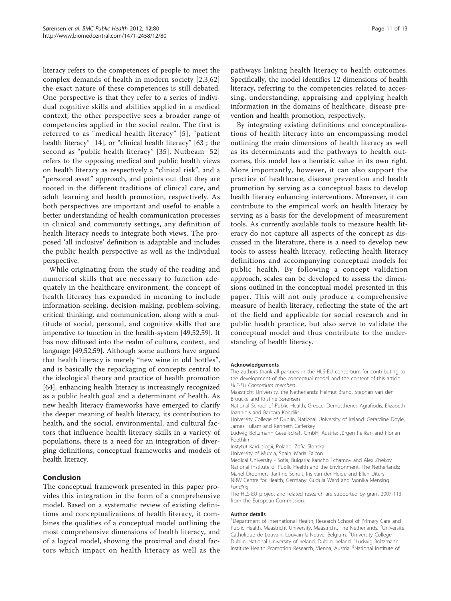literacy refers to the competences of people to meet the complex demands of health in modern society [\[2,3,](#page-11-0)[62](#page-12-0)] the exact nature of these competences is still debated. One perspective is that they refer to a series of individual cognitive skills and abilities applied in a medical context; the other perspective sees a broader range of competencies applied in the social realm. The first is referred to as "medical health literacy" [[5\]](#page-11-0), "patient health literacy" [[14\]](#page-11-0), or "clinical health literacy" [\[63](#page-12-0)]; the second as "public health literacy" [[35](#page-11-0)]. Nutbeam [[52](#page-12-0)] refers to the opposing medical and public health views on health literacy as respectively a "clinical risk", and a "personal asset" approach, and points out that they are rooted in the different traditions of clinical care, and adult learning and health promotion, respectively. As both perspectives are important and useful to enable a better understanding of health communication processes in clinical and community settings, any definition of health literacy needs to integrate both views. The proposed 'all inclusive' definition is adaptable and includes the public health perspective as well as the individual perspective.

While originating from the study of the reading and numerical skills that are necessary to function adequately in the healthcare environment, the concept of health literacy has expanded in meaning to include information-seeking, decision-making, problem-solving, critical thinking, and communication, along with a multitude of social, personal, and cognitive skills that are imperative to function in the health-system [[49,](#page-11-0)[52,59\]](#page-12-0). It has now diffused into the realm of culture, context, and language [[49,](#page-11-0)[52,59](#page-12-0)]. Although some authors have argued that health literacy is merely "new wine in old bottles", and is basically the repackaging of concepts central to the ideological theory and practice of health promotion [[64\]](#page-12-0), enhancing health literacy is increasingly recognized as a public health goal and a determinant of health. As new health literacy frameworks have emerged to clarify the deeper meaning of health literacy, its contribution to health, and the social, environmental, and cultural factors that influence health literacy skills in a variety of populations, there is a need for an integration of diverging definitions, conceptual frameworks and models of health literacy.

## Conclusion

The conceptual framework presented in this paper provides this integration in the form of a comprehensive model. Based on a systematic review of existing definitions and conceptualizations of health literacy, it combines the qualities of a conceptual model outlining the most comprehensive dimensions of health literacy, and of a logical model, showing the proximal and distal factors which impact on health literacy as well as the

pathways linking health literacy to health outcomes. Specifically, the model identifies 12 dimensions of health literacy, referring to the competencies related to accessing, understanding, appraising and applying health information in the domains of healthcare, disease prevention and health promotion, respectively.

By integrating existing definitions and conceptualizations of health literacy into an encompassing model outlining the main dimensions of health literacy as well as its determinants and the pathways to health outcomes, this model has a heuristic value in its own right. More importantly, however, it can also support the practice of healthcare, disease prevention and health promotion by serving as a conceptual basis to develop health literacy enhancing interventions. Moreover, it can contribute to the empirical work on health literacy by serving as a basis for the development of measurement tools. As currently available tools to measure health literacy do not capture all aspects of the concept as discussed in the literature, there is a need to develop new tools to assess health literacy, reflecting health literacy definitions and accompanying conceptual models for public health. By following a concept validation approach, scales can be developed to assess the dimensions outlined in the conceptual model presented in this paper. This will not only produce a comprehensive measure of health literacy, reflecting the state of the art of the field and applicable for social research and in public health practice, but also serve to validate the conceptual model and thus contribute to the understanding of health literacy.

#### Acknowledgements

The authors thank all partners in the HLS-EU consortium for contributing to the development of the conceptual model and the content of this article. HLS-EU Consortium members

Maastricht University, the Netherlands: Helmut Brand, Stephan van den Broucke and Kristine Sørensen

National School of Public Health, Greece: Demosthenes Agrafiodis, Elizabeth Ioannidis and Barbara Kondilis

University College of Dublin, National University of Ireland: Gerardine Doyle, James Fullam and Kenneth Cafferkey

Ludwig Boltzmann Gesellschaft GmbH, Austria: Jürgen Pelikan and Florian Röethlin

Instytut Kardiologii, Poland: Zofia Slonska

University of Murcia, Spain: Maria Falcon

Medical University - Sofia, Bulgaria: Kancho Tchamov and Alex Zhekov National Institute of Public Health and the Environment, The Netherlands: Mariël Droomers, Jantine Schuit, Iris van der Heide and Ellen Uiters NRW Centre for Health, Germany: Gudula Ward and Monika Mensing Funding

The HLS-EU project and related research are supported by grant 2007-113 from the European Commission.

#### Author details

<sup>1</sup>Department of International Health, Research School of Primary Care and Public Health, Maastricht University, Maastricht, The Netherlands. <sup>2</sup>Université Catholique de Louvain, Louvain-la-Neuve, Belgium. <sup>3</sup>University College Dublin, National University of Ireland, Dublin, Ireland. <sup>4</sup>Ludwig Boltzmann Institute Health Promotion Research, Vienna, Austria. <sup>5</sup>National Institute of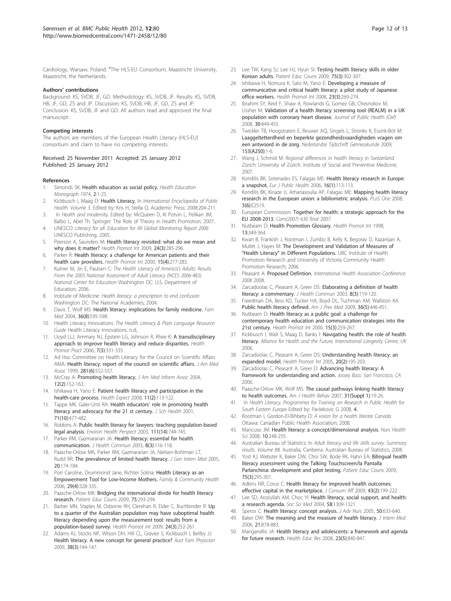<span id="page-11-0"></span>Cardiology, Warsaw, Poland. <sup>6</sup>The HLS-EU Consortium, Maastricht University, Maastricht, the Netherlands.

#### Authors' contributions

Background: KS, SVDB, JF, GD. Methodology: KS, SVDB, JF. Results: KS, SVDB, HB, JF, GD, ZS and JP. Discussion: KS, SVDB, HB, JF, GD, ZS and JP. Conclusion: KS, SVDB, JF and GD. All authors read and approved the final manuscript.

#### Competing interests

The authors are members of the European Health Literacy (HLS-EU) consortium and claim to have no competing interests.

#### Received: 25 November 2011 Accepted: 25 January 2012 Published: 25 January 2012

#### References

- Simonds SK: Health education as social policy. Health Education Monograph 1974, 2:1-25.
- 2. Kickbusch I, Maag D: Health Literacy. In International Encyclopedia of Public Health. Volume 3. Edited by: Kris H, Stella Q. Academic Press; 2008:204-211.
- In Health and modernity. Edited by: McQueen D, KI Potvin L, Pelikan JM, Balbo L, Abel Th. Springer: The Role of Theory in Health Promotion; 2007:.
- 4. UNESCO: Literacy for all. Education for All Global Monitoring Report 2006 UNESCO Publishing; 2005.
- 5. Peerson A, Saunders M: [Health literacy revisited: what do we mean and](http://www.ncbi.nlm.nih.gov/pubmed/19372101?dopt=Abstract) [why does it matter?](http://www.ncbi.nlm.nih.gov/pubmed/19372101?dopt=Abstract) Health Promot Int 2009, 24(3):285-296.
- 6. Parker R: Health literacy: a challenge for American patients and their health care providers. Health Promot Int 2000, 15(4):277-283.
- 7. Kutner M, Jin E, Paulsen C: The Health Literacy of America's Adults: Results From the 2003 National Assessment of Adult Literacy (NCES 2006-483). National Center for Education Washington DC: U.S. Department of Education; 2006.
- 8. Institute of Medicine: Health literacy: a prescription to end confusion Washington DC: The National Academies; 2004.
- 9. Davis T, Wolf MS: [Health literacy: implications for family medicine.](http://www.ncbi.nlm.nih.gov/pubmed/15343422?dopt=Abstract) Fam Med 2004, 36(8):595-598.
- 10. Health Literacy Innovations: The Health Literacy & Plain Language Resource Guide Health Literacy Innovations; n.d;.
- 11. Lloyd LLJ, Ammary NJ, Epstein LG, Johnson R, Rhee K: [A transdisciplinary](http://www.ncbi.nlm.nih.gov/pubmed/16760237?dopt=Abstract) [approach to improve health literacy and reduce disparities.](http://www.ncbi.nlm.nih.gov/pubmed/16760237?dopt=Abstract) Health Promot Pract 2006, 7(3):331-335.
- 12. Ad Hoc Committee on Health Literacy for the Council on Scientific Affairs AMA: Health literacy: report of the council on scientific affairs. J Am Med Assoc 1999, 281(6):552-557.
- 13. McCray A: [Promoting health literacy.](http://www.ncbi.nlm.nih.gov/pubmed/15561782?dopt=Abstract) J Am Med Inform Assoc 2004, 12(2):152-163.
- 14. Ishikawa H, Yano E: [Patient health literacy and participation in the](http://www.ncbi.nlm.nih.gov/pubmed/18494956?dopt=Abstract) [health-care process.](http://www.ncbi.nlm.nih.gov/pubmed/18494956?dopt=Abstract) Health Expect 2008, 11(2):113-122.
- 15. Tappe MK, Galer-Unti RA: Health educators' [role in promoting health](http://www.ncbi.nlm.nih.gov/pubmed/11816395?dopt=Abstract) [literacy and advocacy for the 21 st century.](http://www.ncbi.nlm.nih.gov/pubmed/11816395?dopt=Abstract) J Sch Health 2001, 71(10):477-482.
- 16. Robbins A: Public health literacy for lawyers: teaching population-based legal analysis. Environ Health Perspect 2003, 111(14):744-745.
- 17. Parker RM, Gazmararian JA: [Health literacy: essential for health](http://www.ncbi.nlm.nih.gov/pubmed/14692576?dopt=Abstract) [communication.](http://www.ncbi.nlm.nih.gov/pubmed/14692576?dopt=Abstract) J Health Commun 2003, 8(3):116-118.
- 18. Paasche-Orlow MK, Parker RM, Gazmararian JA, Nielsen-Bohlman LT, Rudd RR: The prevalence of limited health literacy. J Gen Intern Med 2005, 20:174-184.
- 19. Porr Caroline, Drummond Jane, Richter Solina: [Health Literacy as an](http://www.ncbi.nlm.nih.gov/pubmed/22323966?dopt=Abstract) [Empowerment Tool for Low-Income Mothers.](http://www.ncbi.nlm.nih.gov/pubmed/22323966?dopt=Abstract) Family & Community Health 2006, 29(4):328-335.
- 20. Paasche-Orlow MK: [Bridging the international divide for health literacy](http://www.ncbi.nlm.nih.gov/pubmed/19497492?dopt=Abstract) [research.](http://www.ncbi.nlm.nih.gov/pubmed/19497492?dopt=Abstract) Patient Educ Couns 2009, 75:293-294.
- 21. Barber MN, Staples M, Osborne RH, Clerehan R, Elder C, Buchbinder R: [Up](http://www.ncbi.nlm.nih.gov/pubmed/19531559?dopt=Abstract) [to a quarter of the Australian population may have suboptimal health](http://www.ncbi.nlm.nih.gov/pubmed/19531559?dopt=Abstract) [literacy depending upon the measurement tool: results from a](http://www.ncbi.nlm.nih.gov/pubmed/19531559?dopt=Abstract) [population-based survey.](http://www.ncbi.nlm.nih.gov/pubmed/19531559?dopt=Abstract) Health Promot Int 2009, 24(3):252-261.
- 22. Adams RJ, Stocks NP, Wilson DH, Hill CL, Gravier S, Kickbusch I, Beilby JJ: [Health literacy. A new concept for general practice?](http://www.ncbi.nlm.nih.gov/pubmed/19283256?dopt=Abstract) Aust Fam Physician 2009, 38(3):144-147.
- 23. Lee TW, Kang SJ, Lee HJ, Hyun SI: [Testing health literacy skills in older](http://www.ncbi.nlm.nih.gov/pubmed/19394184?dopt=Abstract) [Korean adults.](http://www.ncbi.nlm.nih.gov/pubmed/19394184?dopt=Abstract) Patient Educ Couns 2009, 75(3):302-307.
- 24. Ishikawa H, Nomura K, Sato M, Yano E: [Developing a measure of](http://www.ncbi.nlm.nih.gov/pubmed/18515303?dopt=Abstract) [communicative and critical health literacy: a pilot study of Japanese](http://www.ncbi.nlm.nih.gov/pubmed/18515303?dopt=Abstract) [office workers.](http://www.ncbi.nlm.nih.gov/pubmed/18515303?dopt=Abstract) Health Promot Int 2008, 23(3):269-274.
- 25. Ibrahim SY, Reid F, Shaw A, Rowlands G, Gomez GB, Chesnokov M, Ussher M: Validation of a health literacy screening tool (REALM) in a UK population with coronary heart disease. Journal of Public Health (Oxf) 2008, 30:449-455.
- 26. Twickler TB, Hoogstraten E, Reuwer AQ, Singels L, Stronks K, Essink-Bot M: Laaggeltetterdheid en beperkte gezondheidsvaardigheden vragen om een antwoord in de zorg. Nederlandse Tijdschrift Gennesskunde 2009, 153(A250):1-6.
- 27. Wang J, Schmid M: Regional differences in health literacy in Switzerland Zürich: University of Zürich. Institute of Social and Preventive Medicine; 2007.
- 28. Kondilis BK, Soteriades ES, Falagas ME: [Health literacy research in Europe:](http://www.ncbi.nlm.nih.gov/pubmed/16230315?dopt=Abstract) [a snapshot.](http://www.ncbi.nlm.nih.gov/pubmed/16230315?dopt=Abstract) Eur J Public Health 2006, 16(1):113-113.
- 29. Kondilis BK, Kiriaze IJ, Athanasoulia AP, Falagas ME: [Mapping health literacy](http://www.ncbi.nlm.nih.gov/pubmed/18575594?dopt=Abstract) [research in the European union: a bibliometric analysis.](http://www.ncbi.nlm.nih.gov/pubmed/18575594?dopt=Abstract) PLoS One 2008, 3(6):E2519.
- 30. European Commission: Together for health: a strategic approach for the EU 2008-2013. Com(2007) 630 final 2007.
- 31. Nutbeam D: Health Promotion Glossary. Health Promot Int 1998, 13:349-364.
- 32. Kwan B, Frankish J, Rootman I, Zumbo B, Kelly K, Begoray D, Kazanijan A, Mullet J, Hayes M: The Development and Validation of Measures of "Health Literacy" in Different Populations. UBC Institute of Health Promotion Research and University of Victoria Community Health Promotion Research; 2006.
- 33. Pleasant A: Proposed Defintion. International Health Association Conference: 2008 2008.
- 34. Zarcadoolas C, Pleasant A, Greer DS: [Elaborating a definition of health](http://www.ncbi.nlm.nih.gov/pubmed/14692577?dopt=Abstract) [literacy: a commentary.](http://www.ncbi.nlm.nih.gov/pubmed/14692577?dopt=Abstract) J Health Commun 2003, 8(3):119-120.
- 35. Freedman DA, Bess KD, Tucker HA, Boyd DL, Tuchman AM, Wallston KA: [Public health literacy defined.](http://www.ncbi.nlm.nih.gov/pubmed/19362698?dopt=Abstract) Am J Prev Med 2009, 36(5):446-451.
- 36. Nutbeam D: Health literacy as a public goal: a challenge for contemporary health education and communication strategies into the 21st century. Health Promot Int 2000, 15(3):259-267.
- 37. Kickbusch I, Wait S, Maag D, Banks I: Navigating health: the role of health literacy. Alliance for Health and the Future, International Longevity Centre, UK 2006.
- 38. Zarcadoolas C, Pleasant A, Greer DS: [Understanding health literacy: an](http://www.ncbi.nlm.nih.gov/pubmed/15788526?dopt=Abstract) [expanded model.](http://www.ncbi.nlm.nih.gov/pubmed/15788526?dopt=Abstract) Health Promot Int 2005, 20(2):195-203.
- 39. Zarcadoolas C, Pleasant A, Greer D: Advancing health literacy: A framework for understanding and action. Jossey Bass: San Francisco, CA 2006.
- 40. Paasche-Orlow MK, Wolf MS: The causal pathways linking health literacy to health outcomes. Am J Health Behav 2007, 31(Suppl 1):19-26.
- 41. In Health Literacy. Programmes for Training on Research in Public Health for South Eastern Europe Edited by: Pavlekovic G 2008, 4.
- 42. Rootman I, Gordon-El-Bihbety D: A vision for a health literate Canada Ottawa: Canadian Public Health Association; 2008.
- 43. Mancuso JM: [Health literacy: a concept/dimensional analysis.](http://www.ncbi.nlm.nih.gov/pubmed/18786068?dopt=Abstract) Nurs Health Sci 2008, 10:248-255.
- 44. Australian Bureau of Statistics: In Adult literacy and life skills survey. Summary results. Volume 88. Australia, Canberra: Australian Bureau of Statistics; 2008.
- 45. Yost KJ, Webster K, Baker DW, Choi SW, Bode RK, Hahn EA: [Bilingual health](http://www.ncbi.nlm.nih.gov/pubmed/19386462?dopt=Abstract) [literacy assessment using the Talking Touchscreen/la Pantalla](http://www.ncbi.nlm.nih.gov/pubmed/19386462?dopt=Abstract) [Parlanchina: development and pilot testing.](http://www.ncbi.nlm.nih.gov/pubmed/19386462?dopt=Abstract) Patient Educ Couns 2009, 75(3):295-301.
- 46. Adkins NR, Corus C: Health literacy for improved health outcomes: effective capital in the marketplace. J Consum Aff 2009, 43(2):199-222.
- 47. Lee SD, Arozullah AM, Choc YI: [Health literacy, social support, and health:](http://www.ncbi.nlm.nih.gov/pubmed/14759678?dopt=Abstract) [a research agenda.](http://www.ncbi.nlm.nih.gov/pubmed/14759678?dopt=Abstract) Soc Sci Med 2004, 58:1309-1321.
- 48. Speros C: [Health literacy: concept analysis.](http://www.ncbi.nlm.nih.gov/pubmed/15926968?dopt=Abstract) J Adv Nurs 2005, 50:633-640.
- 49. Baker DW: The meaning and the measure of health literacy. J Intern Med 2006, 21:878-883.
- 50. Manganello JA: [Health literacy and adolescents: a framework and agenda](http://www.ncbi.nlm.nih.gov/pubmed/18024979?dopt=Abstract) [for future research.](http://www.ncbi.nlm.nih.gov/pubmed/18024979?dopt=Abstract) Health Educ Res 2008, 23(5):840-847.